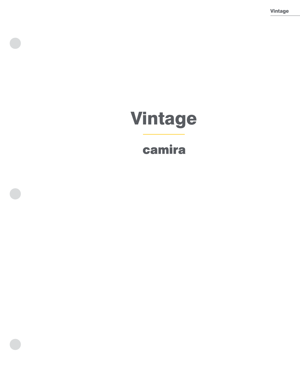Vintage

# Vintage

## camira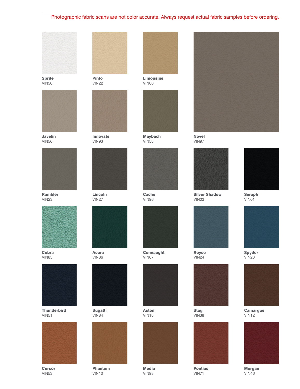### Photographic fabric scans are not color accurate. Always request actual fabric samples before ordering.



Sprite VIN50



Javelin VIN56



Rambler VIN23



Cobra VIN85



**Thunderbird** VIN51



**Cursor** VIN53



Pinto VIN22



Innovate VIN93



Lincoln VIN27





VIN84



Phantom VIN10



VIN06



Maybach VIN58



**Cache** VIN96



Connaught VIN07



Aston VIN18



Media VIN98



Novel VIN97



Silver Shadow VIN02



Royce VIN24



Stag VIN38



Pontiac VIN71



Seraph VIN01



Spyder VIN28



Camargue VIN12



Morgan VIN46





Bugatti